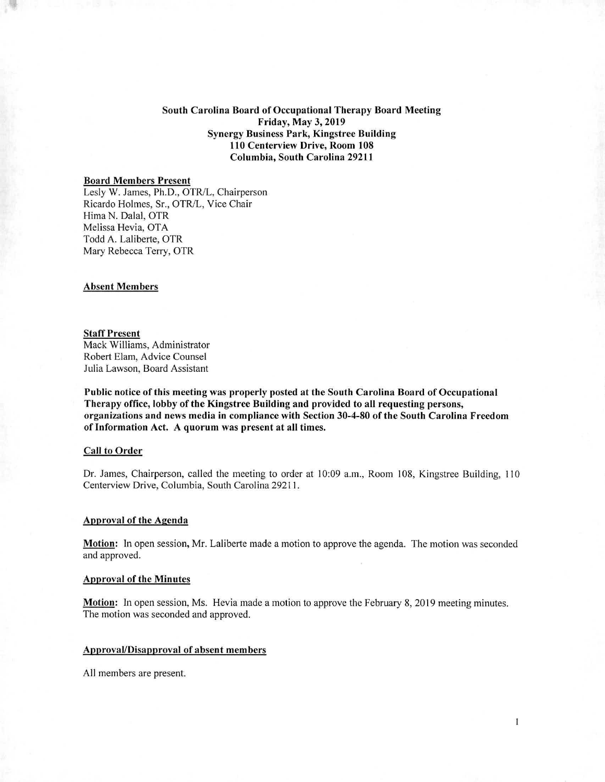South Carolina Board of Occupational Therapy Board Meeting Friday, May 3,2019 Synergy Business Park, Kingstree Building 110 Centerview Drive, Room 108 Columbia, South Carolina 29211

# Board Members Present

Lesly W. James, Ph.D., OTR/L, Chairperson Ricardo Holmes, Sr., OTR/L, Vice Chair Hima N. Dalai, OTR Melissa Hevia, OTA Todd A. Laliberte, OTR Mary Rebecca Terry, OTR

#### Absent Members

### Staff Present

Mack Williams, Administrator Robert Elam, Advice Counsel Julia Lawson, Board Assistant

Public notice of this meeting was properly posted at the South Carolina Board of Occupational Therapy office, lobby of the Kingstree Building and provided to all requesting persons, organizations and news media in compliance with Section 30-4-80 of the South Carolina Freedom of Information Act. A quorum was present at all times.

## Call to Order

Dr. James, Chairperson, called the meeting to order at 10:09 a.m., Room 108, Kingstree Building, 110 Centerview Drive, Columbia, South Carolina 29211.

### Approval of the Agenda

Motion: In open session, Mr. Laliberte made a motion to approve the agenda. The motion was seconded and approved.

#### Approval of the Minutes

Motion: In open session, Ms. Hevia made a motion to approve the February 8,2019 meeting minutes. The motion was seconded and approved.

# Approval/Disapproval of absent members

All members are present.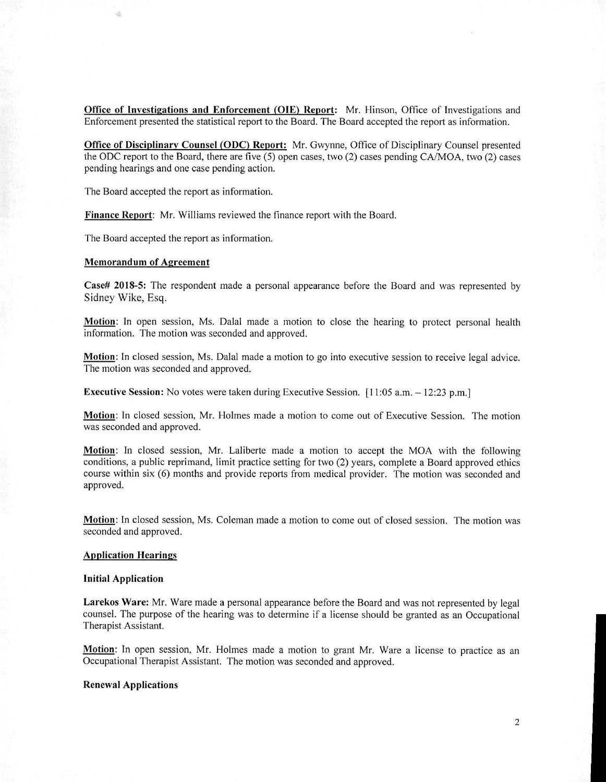**Office of Investigations and Enforcement (OIE) Report:** Mr. Hinson, Office of Investigations and Enforcement presented the statistical report to the Board. The Board accepted the report as information.

**Office of Disciplinary Counsel (ODC) Report:** Mr. Gwynne, Office of Disciplinary Counsel presented the ODC report to the Board, there are five (5) open cases, two (2) cases pending CA/MOA, two (2) cases pending hearings and one case pending action.

The Board accepted the report as information.

**Finance Report: Mr.** Williams reviewed the finance report with the Board.

The Board accepted the report as information.

## **Memorandum of Agreement**

**Case# 2018-5:** The respondent made a personal appearance before the Board and was represented by Sidney Wike, Esq.

Motion: In open session, Ms. Dalal made a motion to close the hearing to protect personal health information. The motion was seconded and approved.

**Motion:** In closed session, Ms. Dalal made a motion to go into executive session to receive legal advice. The motion was seconded and approved.

**Executive Session:** No votes were taken during Executive Session. [11:05 a.m. – 12:23 p.m.]

**Motion:** In closed session, Mr. Holmes made a motion to come out of Executive Session. The motion was seconded and approved.

**Motion:** In closed session, Mr. Laliberte made a motion to accept the MOA with the following conditions, a public reprimand, limit practice setting for two (2) years, complete a Board approved ethics course within six (6) months and provide reports from medical provider. The motion was seconded and approved.

**Motion:** In closed session, Ms. Coleman made a motion to come out of closed session. The motion was seconded and approved.

# **Application Hearings**

### **Initial Application**

**Larekos Ware:** Mr. Ware made a personal appearance before the Board and was not represented by legal counsel. The purpose of the hearing was to determine if a license should be granted as an Occupational Therapist Assistant.

**Motion:** In open session, Mr. Holmes made a motion to grant Mr. Ware a license to practice as an Occupational Therapist Assistant. The motion was seconded and approved.

## **Renewal Applications**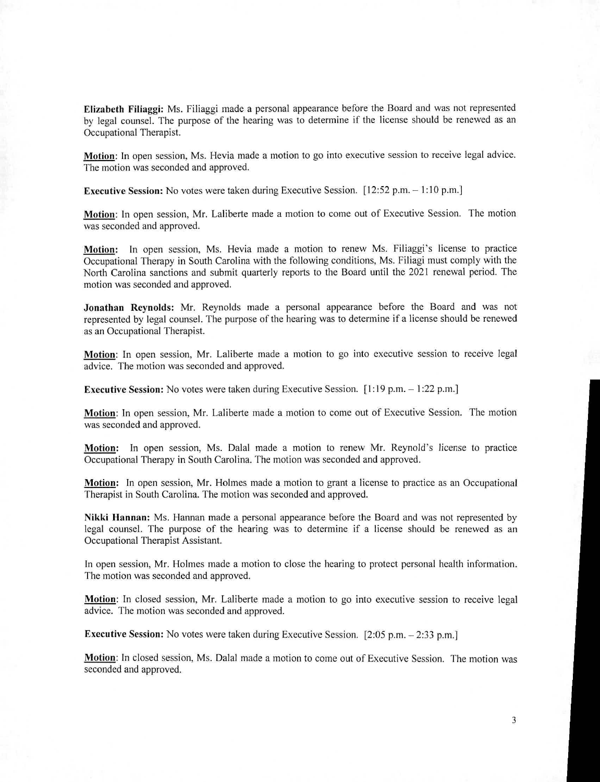Elizabeth Filiaggi: Ms. Filiaggi made a personal appearance before the Board and was not represented by legal counsel. The purpose of the hearing was to determine if the license should be renewed as an Occupational Therapist.

Motion: In open session, Ms. Hevia made a motion to go into executive session to receive legal advice. The motion was seconded and approved.

Executive Session: No votes were taken during Executive Session. [12:52 p.m. — 1:10 p.m.]

Motion: In open session, Mr. Laliberte made a motion to come out of Executive Session. The motion was seconded and approved.

Motion: In open session, Ms. Hevia made a motion to renew Ms. Filiaggi's license to practice Occupational Therapy in South Carolina with the following conditions, Ms. Filiagi must comply with the North Carolina sanctions and submit quarterly reports to the Board until the 2021 renewal period. The motion was seconded and approved.

Jonathan Reynolds: Mr. Reynolds made a personal appearance before the Board and was not represented by legal counsel. The purpose of the hearing was to determine if a license should be renewed as an Occupational Therapist.

Motion: In open session, Mr. Laliberte made a motion to go into executive session to receive legal advice. The motion was seconded and approved.

**Executive Session:** No votes were taken during Executive Session.  $[1:19 \text{ p.m.} - 1:22 \text{ p.m.}]$ 

Motion: In open session, Mr. Laliberte made a motion to come out of Executive Session. The motion was seconded and approved.

Motion: In open session, Ms. Dalai made a motion to renew Mr. Reynold's license to practice Occupational Therapy in South Carolina. The motion was seconded and approved.

Motion: In open session, Mr. Holmes made a motion to grant a license to practice as an Occupational Therapist in South Carolina. The motion was seconded and approved.

Nikki Hannan: Ms. Hannan made a personal appearance before the Board and was not represented by legal counsel. The purpose of the hearing was to determine if a license should be renewed as an Occupational Therapist Assistant.

In open session, Mr. Holmes made a motion to close the hearing to protect personal health information. The motion was seconded and approved.

Motion: In closed session, Mr. Laliberte made a motion to go into executive session to receive legal advice. The motion was seconded and approved.

Executive Session: No votes were taken during Executive Session. [2:05 p.m. — 2:33 p.m.]

Motion: In closed session, Ms. Dalal made a motion to come out of Executive Session. The motion was seconded and approved.